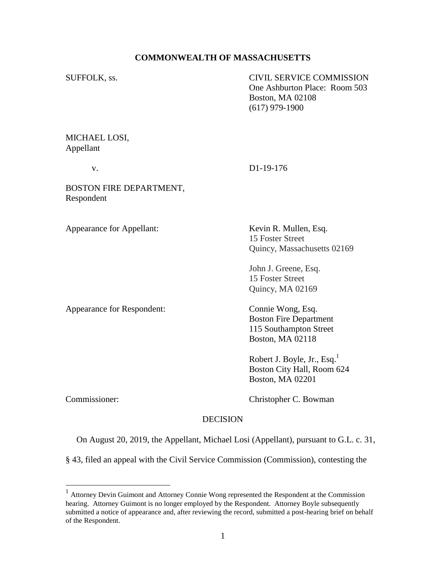# **COMMONWEALTH OF MASSACHUSETTS**

SUFFOLK, ss. CIVIL SERVICE COMMISSION One Ashburton Place: Room 503 Boston, MA 02108 (617) 979-1900

MICHAEL LOSI, Appellant

v. D1-19-176

BOSTON FIRE DEPARTMENT, Respondent

Appearance for Appellant: Kevin R. Mullen, Esq.

15 Foster Street Quincy, Massachusetts 02169

John J. Greene, Esq. 15 Foster Street Quincy, MA 02169

Appearance for Respondent: Connie Wong, Esq.

Boston Fire Department 115 Southampton Street Boston, MA 02118

Robert J. Boyle, Jr., Esq.<sup>1</sup> Boston City Hall, Room 624 Boston, MA 02201

Commissioner: Christopher C. Bowman

# DECISION

On August 20, 2019, the Appellant, Michael Losi (Appellant), pursuant to G.L. c. 31,

§ 43, filed an appeal with the Civil Service Commission (Commission), contesting the

 1 Attorney Devin Guimont and Attorney Connie Wong represented the Respondent at the Commission hearing. Attorney Guimont is no longer employed by the Respondent. Attorney Boyle subsequently submitted a notice of appearance and, after reviewing the record, submitted a post-hearing brief on behalf of the Respondent.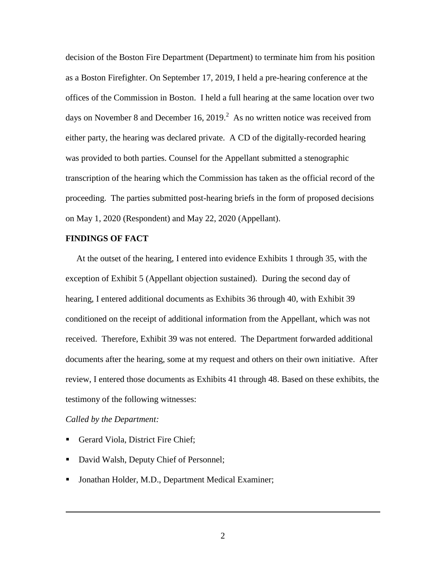decision of the Boston Fire Department (Department) to terminate him from his position as a Boston Firefighter. On September 17, 2019, I held a pre-hearing conference at the offices of the Commission in Boston. I held a full hearing at the same location over two days on November 8 and December 16, 2019.<sup>2</sup> As no written notice was received from either party, the hearing was declared private. A CD of the digitally-recorded hearing was provided to both parties. Counsel for the Appellant submitted a stenographic transcription of the hearing which the Commission has taken as the official record of the proceeding. The parties submitted post-hearing briefs in the form of proposed decisions on May 1, 2020 (Respondent) and May 22, 2020 (Appellant).

# **FINDINGS OF FACT**

 At the outset of the hearing, I entered into evidence Exhibits 1 through 35, with the exception of Exhibit 5 (Appellant objection sustained). During the second day of hearing, I entered additional documents as Exhibits 36 through 40, with Exhibit 39 conditioned on the receipt of additional information from the Appellant, which was not received. Therefore, Exhibit 39 was not entered. The Department forwarded additional documents after the hearing, some at my request and others on their own initiative. After review, I entered those documents as Exhibits 41 through 48. Based on these exhibits, the testimony of the following witnesses:

# *Called by the Department:*

- Gerard Viola, District Fire Chief;
- David Walsh, Deputy Chief of Personnel;
- **Jonathan Holder, M.D., Department Medical Examiner;**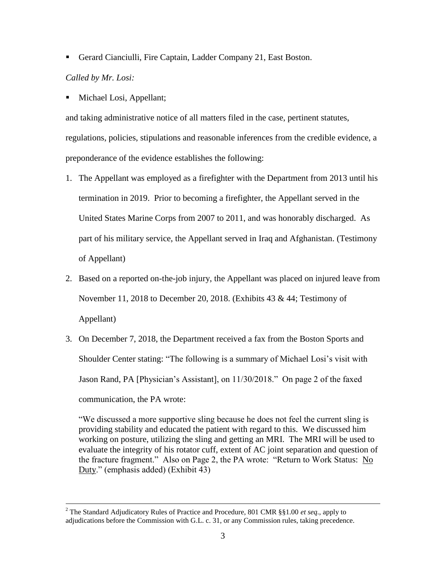■ Gerard Cianciulli, Fire Captain, Ladder Company 21, East Boston.

# *Called by Mr. Losi:*

 $\overline{a}$ 

Michael Losi, Appellant;

and taking administrative notice of all matters filed in the case, pertinent statutes, regulations, policies, stipulations and reasonable inferences from the credible evidence, a preponderance of the evidence establishes the following:

- 1. The Appellant was employed as a firefighter with the Department from 2013 until his termination in 2019. Prior to becoming a firefighter, the Appellant served in the United States Marine Corps from 2007 to 2011, and was honorably discharged. As part of his military service, the Appellant served in Iraq and Afghanistan. (Testimony of Appellant)
- 2. Based on a reported on-the-job injury, the Appellant was placed on injured leave from November 11, 2018 to December 20, 2018. (Exhibits 43 & 44; Testimony of Appellant)
- 3. On December 7, 2018, the Department received a fax from the Boston Sports and Shoulder Center stating: "The following is a summary of Michael Losi's visit with Jason Rand, PA [Physician's Assistant], on 11/30/2018." On page 2 of the faxed communication, the PA wrote:

"We discussed a more supportive sling because he does not feel the current sling is providing stability and educated the patient with regard to this. We discussed him working on posture, utilizing the sling and getting an MRI. The MRI will be used to evaluate the integrity of his rotator cuff, extent of AC joint separation and question of the fracture fragment." Also on Page 2, the PA wrote: "Return to Work Status: No Duty." (emphasis added) (Exhibit 43)

<sup>2</sup> The Standard Adjudicatory Rules of Practice and Procedure, 801 CMR §§1.00 *et seq.*, apply to adjudications before the Commission with G.L. c. 31, or any Commission rules, taking precedence.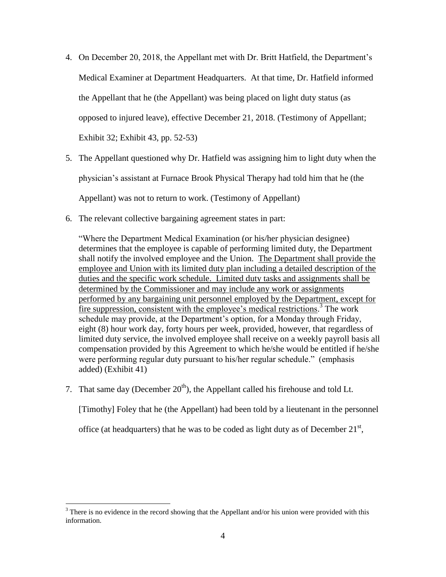- 4. On December 20, 2018, the Appellant met with Dr. Britt Hatfield, the Department's Medical Examiner at Department Headquarters. At that time, Dr. Hatfield informed the Appellant that he (the Appellant) was being placed on light duty status (as opposed to injured leave), effective December 21, 2018. (Testimony of Appellant; Exhibit 32; Exhibit 43, pp. 52-53)
- 5. The Appellant questioned why Dr. Hatfield was assigning him to light duty when the physician's assistant at Furnace Brook Physical Therapy had told him that he (the Appellant) was not to return to work. (Testimony of Appellant)
- 6. The relevant collective bargaining agreement states in part:

"Where the Department Medical Examination (or his/her physician designee) determines that the employee is capable of performing limited duty, the Department shall notify the involved employee and the Union. The Department shall provide the employee and Union with its limited duty plan including a detailed description of the duties and the specific work schedule. Limited duty tasks and assignments shall be determined by the Commissioner and may include any work or assignments performed by any bargaining unit personnel employed by the Department, except for fire suppression, consistent with the employee's medical restrictions.<sup>3</sup> The work schedule may provide, at the Department's option, for a Monday through Friday, eight (8) hour work day, forty hours per week, provided, however, that regardless of limited duty service, the involved employee shall receive on a weekly payroll basis all compensation provided by this Agreement to which he/she would be entitled if he/she were performing regular duty pursuant to his/her regular schedule." (emphasis added) (Exhibit 41)

7. That same day (December  $20<sup>th</sup>$ ), the Appellant called his firehouse and told Lt.

[Timothy] Foley that he (the Appellant) had been told by a lieutenant in the personnel

office (at headquarters) that he was to be coded as light duty as of December  $21<sup>st</sup>$ ,

 $3$  There is no evidence in the record showing that the Appellant and/or his union were provided with this information.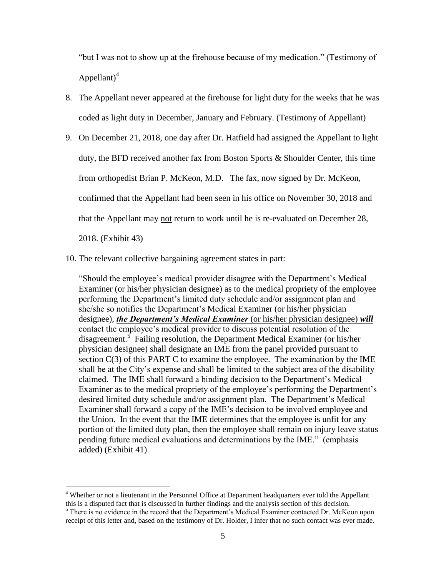"but I was not to show up at the firehouse because of my medication." (Testimony of Appellant $)^4$ 

- 8. The Appellant never appeared at the firehouse for light duty for the weeks that he was coded as light duty in December, January and February. (Testimony of Appellant)
- 9. On December 21, 2018, one day after Dr. Hatfield had assigned the Appellant to light duty, the BFD received another fax from Boston Sports & Shoulder Center, this time from orthopedist Brian P. McKeon, M.D. The fax, now signed by Dr. McKeon, confirmed that the Appellant had been seen in his office on November 30, 2018 and that the Appellant may not return to work until he is re-evaluated on December 28, 2018. (Exhibit 43)
- 10. The relevant collective bargaining agreement states in part:

"Should the employee's medical provider disagree with the Department's Medical Examiner (or his/her physician designee) as to the medical propriety of the employee performing the Department's limited duty schedule and/or assignment plan and she/she so notifies the Department's Medical Examiner (or his/her physician designee), *the Department's Medical Examiner* (or his/her physician designee) *will*  contact the employee's medical provider to discuss potential resolution of the disagreement.<sup>5</sup> Failing resolution, the Department Medical Examiner (or his/her physician designee) shall designate an IME from the panel provided pursuant to section  $C(3)$  of this PART C to examine the employee. The examination by the IME shall be at the City's expense and shall be limited to the subject area of the disability claimed. The IME shall forward a binding decision to the Department's Medical Examiner as to the medical propriety of the employee's performing the Department's desired limited duty schedule and/or assignment plan. The Department's Medical Examiner shall forward a copy of the IME's decision to be involved employee and the Union. In the event that the IME determines that the employee is unfit for any portion of the limited duty plan, then the employee shall remain on injury leave status pending future medical evaluations and determinations by the IME." (emphasis added) (Exhibit 41)

<sup>4</sup> Whether or not a lieutenant in the Personnel Office at Department headquarters ever told the Appellant this is a disputed fact that is discussed in further findings and the analysis section of this decision.

<sup>&</sup>lt;sup>5</sup> There is no evidence in the record that the Department's Medical Examiner contacted Dr. McKeon upon receipt of this letter and, based on the testimony of Dr. Holder, I infer that no such contact was ever made.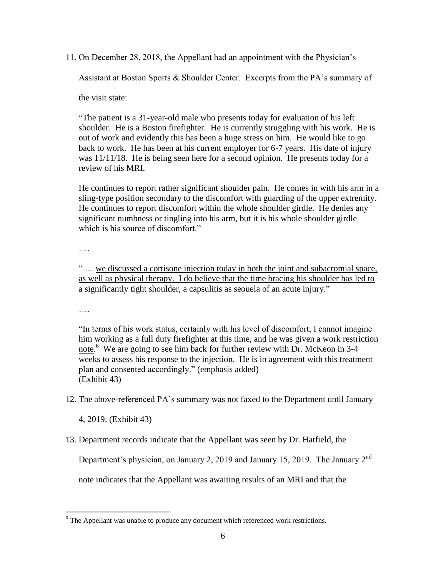11. On December 28, 2018, the Appellant had an appointment with the Physician's

Assistant at Boston Sports & Shoulder Center. Excerpts from the PA's summary of

the visit state:

"The patient is a 31-year-old male who presents today for evaluation of his left shoulder. He is a Boston firefighter. He is currently struggling with his work. He is out of work and evidently this has been a huge stress on him. He would like to go back to work. He has been at his current employer for 6-7 years. His date of injury was 11/11/18. He is being seen here for a second opinion. He presents today for a review of his MRI.

He continues to report rather significant shoulder pain. He comes in with his arm in a sling-type position secondary to the discomfort with guarding of the upper extremity. He continues to report discomfort within the whole shoulder girdle. He denies any significant numbness or tingling into his arm, but it is his whole shoulder girdle which is his source of discomfort."

….

" … we discussed a cortisone injection today in both the joint and subacromial space, as well as physical therapy. I do believe that the time bracing his shoulder has led to a significantly tight shoulder, a capsulitis as seouela of an acute injury."

….

 $\overline{a}$ 

"In terms of his work status, certainly with his level of discomfort, I cannot imagine him working as a full duty firefighter at this time, and he was given a work restriction note. 6 We are going to see him back for further review with Dr. McKeon in 3-4 weeks to assess his response to the injection. He is in agreement with this treatment plan and consented accordingly." (emphasis added) (Exhibit 43)

12. The above-referenced PA's summary was not faxed to the Department until January

4, 2019. (Exhibit 43)

13. Department records indicate that the Appellant was seen by Dr. Hatfield, the

Department's physician, on January 2, 2019 and January 15, 2019. The January 2<sup>nd</sup>

note indicates that the Appellant was awaiting results of an MRI and that the

<sup>&</sup>lt;sup>6</sup> The Appellant was unable to produce any document which referenced work restrictions.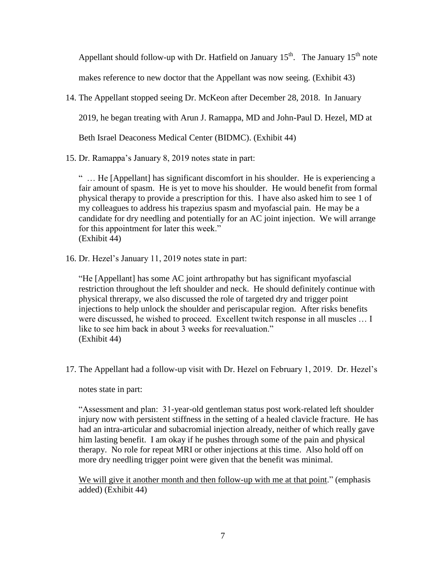Appellant should follow-up with Dr. Hatfield on January  $15^{th}$ . The January  $15^{th}$  note

makes reference to new doctor that the Appellant was now seeing. (Exhibit 43)

14. The Appellant stopped seeing Dr. McKeon after December 28, 2018. In January

2019, he began treating with Arun J. Ramappa, MD and John-Paul D. Hezel, MD at

Beth Israel Deaconess Medical Center (BIDMC). (Exhibit 44)

15. Dr. Ramappa's January 8, 2019 notes state in part:

" … He [Appellant] has significant discomfort in his shoulder. He is experiencing a fair amount of spasm. He is yet to move his shoulder. He would benefit from formal physical therapy to provide a prescription for this. I have also asked him to see 1 of my colleagues to address his trapezius spasm and myofascial pain. He may be a candidate for dry needling and potentially for an AC joint injection. We will arrange for this appointment for later this week." (Exhibit 44)

16. Dr. Hezel's January 11, 2019 notes state in part:

"He [Appellant] has some AC joint arthropathy but has significant myofascial restriction throughout the left shoulder and neck. He should definitely continue with physical threrapy, we also discussed the role of targeted dry and trigger point injections to help unlock the shoulder and periscapular region. After risks benefits were discussed, he wished to proceed. Excellent twitch response in all muscles … I like to see him back in about 3 weeks for reevaluation." (Exhibit 44)

17. The Appellant had a follow-up visit with Dr. Hezel on February 1, 2019. Dr. Hezel's

notes state in part:

"Assessment and plan: 31-year-old gentleman status post work-related left shoulder injury now with persistent stiffness in the setting of a healed clavicle fracture. He has had an intra-articular and subacromial injection already, neither of which really gave him lasting benefit. I am okay if he pushes through some of the pain and physical therapy. No role for repeat MRI or other injections at this time. Also hold off on more dry needling trigger point were given that the benefit was minimal.

We will give it another month and then follow-up with me at that point." (emphasis added) (Exhibit 44)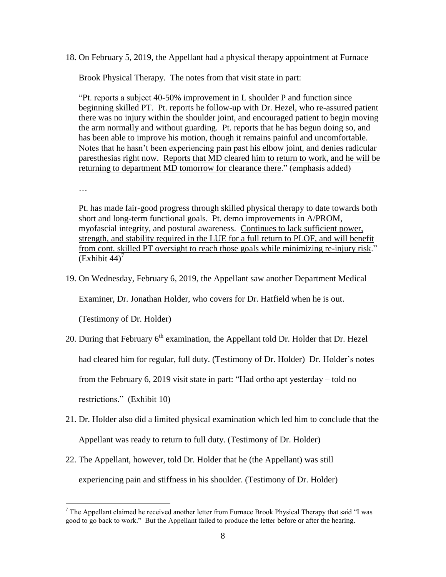18. On February 5, 2019, the Appellant had a physical therapy appointment at Furnace

Brook Physical Therapy. The notes from that visit state in part:

"Pt. reports a subject 40-50% improvement in L shoulder P and function since beginning skilled PT. Pt. reports he follow-up with Dr. Hezel, who re-assured patient there was no injury within the shoulder joint, and encouraged patient to begin moving the arm normally and without guarding. Pt. reports that he has begun doing so, and has been able to improve his motion, though it remains painful and uncomfortable. Notes that he hasn't been experiencing pain past his elbow joint, and denies radicular paresthesias right now. Reports that MD cleared him to return to work, and he will be returning to department MD tomorrow for clearance there." (emphasis added)

…

Pt. has made fair-good progress through skilled physical therapy to date towards both short and long-term functional goals. Pt. demo improvements in A/PROM, myofascial integrity, and postural awareness. Continues to lack sufficient power, strength, and stability required in the LUE for a full return to PLOF, and will benefit from cont. skilled PT oversight to reach those goals while minimizing re-injury risk."  $(Exhibit 44)<sup>7</sup>$ 

19. On Wednesday, February 6, 2019, the Appellant saw another Department Medical

Examiner, Dr. Jonathan Holder, who covers for Dr. Hatfield when he is out.

(Testimony of Dr. Holder)

20. During that February  $6<sup>th</sup>$  examination, the Appellant told Dr. Holder that Dr. Hezel

had cleared him for regular, full duty. (Testimony of Dr. Holder) Dr. Holder's notes

from the February 6, 2019 visit state in part: "Had ortho apt yesterday – told no

restrictions." (Exhibit 10)

- 21. Dr. Holder also did a limited physical examination which led him to conclude that the Appellant was ready to return to full duty. (Testimony of Dr. Holder)
- 22. The Appellant, however, told Dr. Holder that he (the Appellant) was still experiencing pain and stiffness in his shoulder. (Testimony of Dr. Holder)

 $<sup>7</sup>$  The Appellant claimed he received another letter from Furnace Brook Physical Therapy that said "I was</sup> good to go back to work." But the Appellant failed to produce the letter before or after the hearing.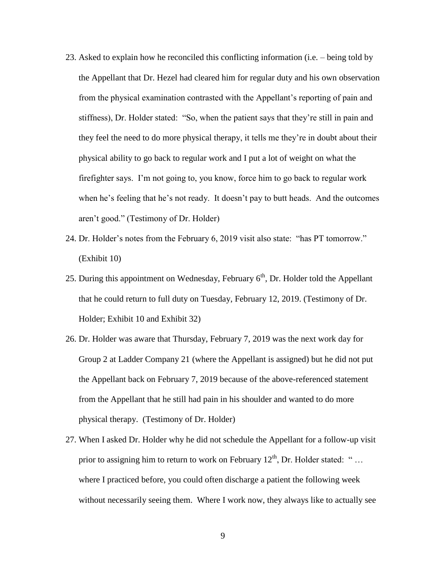- 23. Asked to explain how he reconciled this conflicting information (i.e. being told by the Appellant that Dr. Hezel had cleared him for regular duty and his own observation from the physical examination contrasted with the Appellant's reporting of pain and stiffness), Dr. Holder stated: "So, when the patient says that they're still in pain and they feel the need to do more physical therapy, it tells me they're in doubt about their physical ability to go back to regular work and I put a lot of weight on what the firefighter says. I'm not going to, you know, force him to go back to regular work when he's feeling that he's not ready. It doesn't pay to butt heads. And the outcomes aren't good." (Testimony of Dr. Holder)
- 24. Dr. Holder's notes from the February 6, 2019 visit also state: "has PT tomorrow." (Exhibit 10)
- 25. During this appointment on Wednesday, February  $6<sup>th</sup>$ , Dr. Holder told the Appellant that he could return to full duty on Tuesday, February 12, 2019. (Testimony of Dr. Holder; Exhibit 10 and Exhibit 32)
- 26. Dr. Holder was aware that Thursday, February 7, 2019 was the next work day for Group 2 at Ladder Company 21 (where the Appellant is assigned) but he did not put the Appellant back on February 7, 2019 because of the above-referenced statement from the Appellant that he still had pain in his shoulder and wanted to do more physical therapy. (Testimony of Dr. Holder)
- 27. When I asked Dr. Holder why he did not schedule the Appellant for a follow-up visit prior to assigning him to return to work on February  $12<sup>th</sup>$ , Dr. Holder stated: "... where I practiced before, you could often discharge a patient the following week without necessarily seeing them. Where I work now, they always like to actually see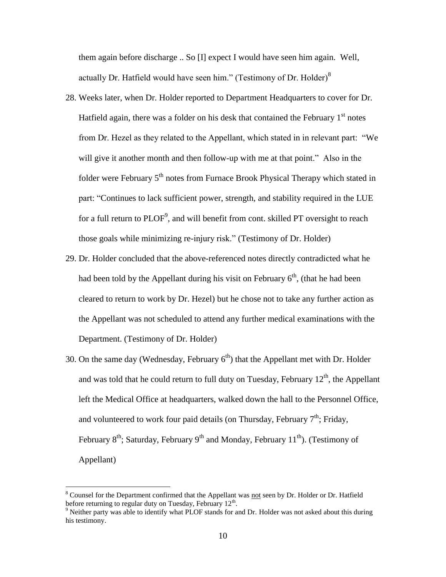them again before discharge .. So [I] expect I would have seen him again. Well, actually Dr. Hatfield would have seen him." (Testimony of Dr. Holder) $\delta$ 

- 28. Weeks later, when Dr. Holder reported to Department Headquarters to cover for Dr. Hatfield again, there was a folder on his desk that contained the February  $1<sup>st</sup>$  notes from Dr. Hezel as they related to the Appellant, which stated in in relevant part: "We will give it another month and then follow-up with me at that point." Also in the folder were February  $5<sup>th</sup>$  notes from Furnace Brook Physical Therapy which stated in part: "Continues to lack sufficient power, strength, and stability required in the LUE for a full return to  $PLOF^9$ , and will benefit from cont. skilled PT oversight to reach those goals while minimizing re-injury risk." (Testimony of Dr. Holder)
- 29. Dr. Holder concluded that the above-referenced notes directly contradicted what he had been told by the Appellant during his visit on February  $6<sup>th</sup>$ , (that he had been cleared to return to work by Dr. Hezel) but he chose not to take any further action as the Appellant was not scheduled to attend any further medical examinations with the Department. (Testimony of Dr. Holder)
- 30. On the same day (Wednesday, February  $6<sup>th</sup>$ ) that the Appellant met with Dr. Holder and was told that he could return to full duty on Tuesday, February  $12<sup>th</sup>$ , the Appellant left the Medical Office at headquarters, walked down the hall to the Personnel Office, and volunteered to work four paid details (on Thursday, February  $7<sup>th</sup>$ ; Friday, February  $8<sup>th</sup>$ ; Saturday, February  $9<sup>th</sup>$  and Monday, February 11<sup>th</sup>). (Testimony of Appellant)

<sup>&</sup>lt;sup>8</sup> Counsel for the Department confirmed that the Appellant was not seen by Dr. Holder or Dr. Hatfield before returning to regular duty on Tuesday, February  $12<sup>th</sup>$ .

<sup>&</sup>lt;sup>9</sup> Neither party was able to identify what PLOF stands for and Dr. Holder was not asked about this during his testimony.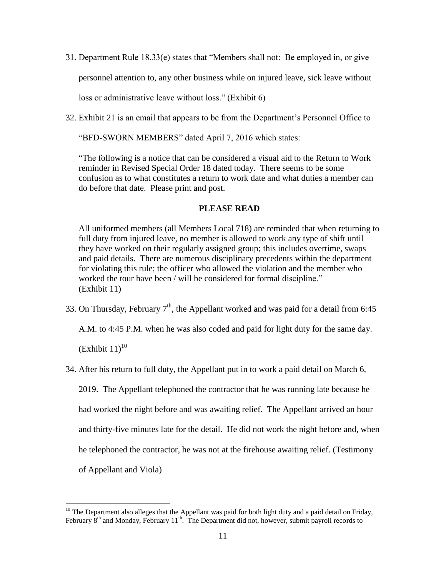31. Department Rule 18.33(e) states that "Members shall not: Be employed in, or give personnel attention to, any other business while on injured leave, sick leave without loss or administrative leave without loss." (Exhibit 6)

32. Exhibit 21 is an email that appears to be from the Department's Personnel Office to

"BFD-SWORN MEMBERS" dated April 7, 2016 which states:

"The following is a notice that can be considered a visual aid to the Return to Work reminder in Revised Special Order 18 dated today. There seems to be some confusion as to what constitutes a return to work date and what duties a member can do before that date. Please print and post.

# **PLEASE READ**

All uniformed members (all Members Local 718) are reminded that when returning to full duty from injured leave, no member is allowed to work any type of shift until they have worked on their regularly assigned group; this includes overtime, swaps and paid details. There are numerous disciplinary precedents within the department for violating this rule; the officer who allowed the violation and the member who worked the tour have been / will be considered for formal discipline." (Exhibit 11)

33. On Thursday, February  $7<sup>th</sup>$ , the Appellant worked and was paid for a detail from 6:45

A.M. to 4:45 P.M. when he was also coded and paid for light duty for the same day.

 $(Exhibit 11)<sup>10</sup>$ 

34. After his return to full duty, the Appellant put in to work a paid detail on March 6,

2019. The Appellant telephoned the contractor that he was running late because he

had worked the night before and was awaiting relief. The Appellant arrived an hour

and thirty-five minutes late for the detail. He did not work the night before and, when

he telephoned the contractor, he was not at the firehouse awaiting relief. (Testimony

of Appellant and Viola)

 $10$  The Department also alleges that the Appellant was paid for both light duty and a paid detail on Friday, February 8<sup>th</sup> and Monday, February 11<sup>th</sup>. The Department did not, however, submit payroll records to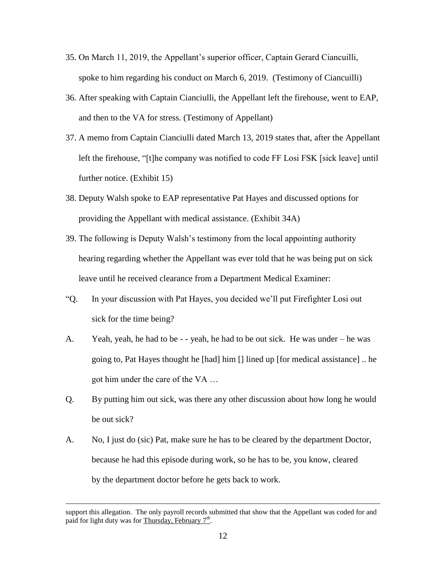- 35. On March 11, 2019, the Appellant's superior officer, Captain Gerard Ciancuilli, spoke to him regarding his conduct on March 6, 2019. (Testimony of Ciancuilli)
- 36. After speaking with Captain Cianciulli, the Appellant left the firehouse, went to EAP, and then to the VA for stress. (Testimony of Appellant)
- 37. A memo from Captain Cianciulli dated March 13, 2019 states that, after the Appellant left the firehouse, "[t]he company was notified to code FF Losi FSK [sick leave] until further notice. (Exhibit 15)
- 38. Deputy Walsh spoke to EAP representative Pat Hayes and discussed options for providing the Appellant with medical assistance. (Exhibit 34A)
- 39. The following is Deputy Walsh's testimony from the local appointing authority hearing regarding whether the Appellant was ever told that he was being put on sick leave until he received clearance from a Department Medical Examiner:
- "Q. In your discussion with Pat Hayes, you decided we'll put Firefighter Losi out sick for the time being?
- A. Yeah, yeah, he had to be - yeah, he had to be out sick. He was under he was going to, Pat Hayes thought he [had] him [] lined up [for medical assistance] .. he got him under the care of the VA …
- Q. By putting him out sick, was there any other discussion about how long he would be out sick?
- A. No, I just do (sic) Pat, make sure he has to be cleared by the department Doctor, because he had this episode during work, so he has to be, you know, cleared by the department doctor before he gets back to work.

support this allegation. The only payroll records submitted that show that the Appellant was coded for and paid for light duty was for Thursday, February  $7<sup>th</sup>$ .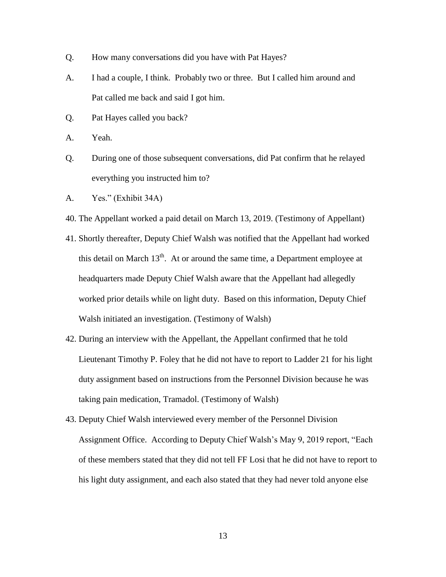- Q. How many conversations did you have with Pat Hayes?
- A. I had a couple, I think. Probably two or three. But I called him around and Pat called me back and said I got him.
- Q. Pat Hayes called you back?
- A. Yeah.
- Q. During one of those subsequent conversations, did Pat confirm that he relayed everything you instructed him to?
- A. Yes." (Exhibit 34A)
- 40. The Appellant worked a paid detail on March 13, 2019. (Testimony of Appellant)
- 41. Shortly thereafter, Deputy Chief Walsh was notified that the Appellant had worked this detail on March  $13<sup>th</sup>$ . At or around the same time, a Department employee at headquarters made Deputy Chief Walsh aware that the Appellant had allegedly worked prior details while on light duty. Based on this information, Deputy Chief Walsh initiated an investigation. (Testimony of Walsh)
- 42. During an interview with the Appellant, the Appellant confirmed that he told Lieutenant Timothy P. Foley that he did not have to report to Ladder 21 for his light duty assignment based on instructions from the Personnel Division because he was taking pain medication, Tramadol. (Testimony of Walsh)
- 43. Deputy Chief Walsh interviewed every member of the Personnel Division Assignment Office. According to Deputy Chief Walsh's May 9, 2019 report, "Each of these members stated that they did not tell FF Losi that he did not have to report to his light duty assignment, and each also stated that they had never told anyone else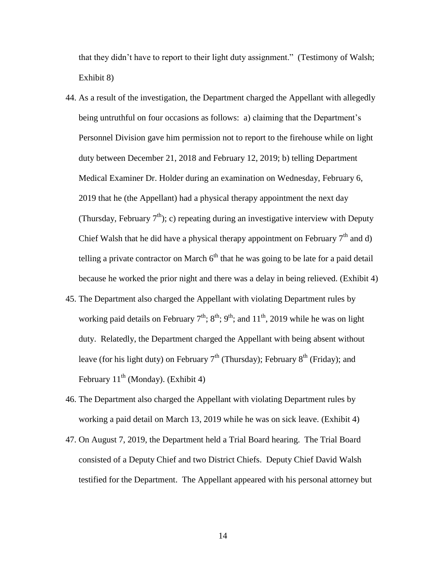that they didn't have to report to their light duty assignment." (Testimony of Walsh; Exhibit 8)

- 44. As a result of the investigation, the Department charged the Appellant with allegedly being untruthful on four occasions as follows: a) claiming that the Department's Personnel Division gave him permission not to report to the firehouse while on light duty between December 21, 2018 and February 12, 2019; b) telling Department Medical Examiner Dr. Holder during an examination on Wednesday, February 6, 2019 that he (the Appellant) had a physical therapy appointment the next day (Thursday, February  $7<sup>th</sup>$ ); c) repeating during an investigative interview with Deputy Chief Walsh that he did have a physical therapy appointment on February  $7<sup>th</sup>$  and d) telling a private contractor on March  $6<sup>th</sup>$  that he was going to be late for a paid detail because he worked the prior night and there was a delay in being relieved. (Exhibit 4)
- 45. The Department also charged the Appellant with violating Department rules by working paid details on February  $7<sup>th</sup>$ ;  $8<sup>th</sup>$ ;  $9<sup>th</sup>$ ; and  $11<sup>th</sup>$ , 2019 while he was on light duty. Relatedly, the Department charged the Appellant with being absent without leave (for his light duty) on February  $7<sup>th</sup>$  (Thursday); February  $8<sup>th</sup>$  (Friday); and February 11<sup>th</sup> (Monday). (Exhibit 4)
- 46. The Department also charged the Appellant with violating Department rules by working a paid detail on March 13, 2019 while he was on sick leave. (Exhibit 4)
- 47. On August 7, 2019, the Department held a Trial Board hearing. The Trial Board consisted of a Deputy Chief and two District Chiefs. Deputy Chief David Walsh testified for the Department. The Appellant appeared with his personal attorney but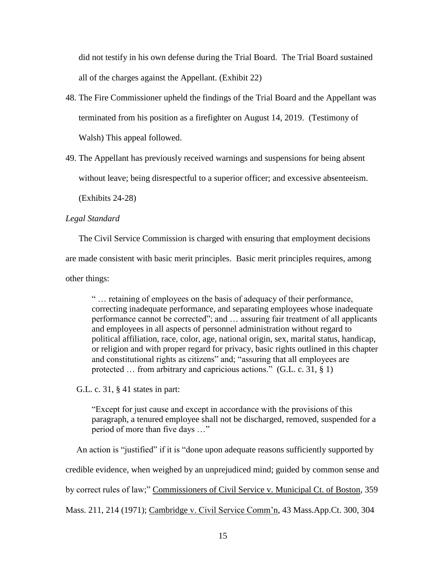did not testify in his own defense during the Trial Board. The Trial Board sustained all of the charges against the Appellant. (Exhibit 22)

- 48. The Fire Commissioner upheld the findings of the Trial Board and the Appellant was terminated from his position as a firefighter on August 14, 2019. (Testimony of Walsh) This appeal followed.
- 49. The Appellant has previously received warnings and suspensions for being absent without leave; being disrespectful to a superior officer; and excessive absenteeism.

(Exhibits 24-28)

# *Legal Standard*

 The Civil Service Commission is charged with ensuring that employment decisions are made consistent with basic merit principles. Basic merit principles requires, among other things:

" … retaining of employees on the basis of adequacy of their performance, correcting inadequate performance, and separating employees whose inadequate performance cannot be corrected"; and … assuring fair treatment of all applicants and employees in all aspects of personnel administration without regard to political affiliation, race, color, age, national origin, sex, marital status, handicap, or religion and with proper regard for privacy, basic rights outlined in this chapter and constitutional rights as citizens" and; "assuring that all employees are protected ... from arbitrary and capricious actions." (G.L. c. 31, § 1)

G.L. c. 31, § 41 states in part:

"Except for just cause and except in accordance with the provisions of this paragraph, a tenured employee shall not be discharged, removed, suspended for a period of more than five days …"

 An action is "justified" if it is "done upon adequate reasons sufficiently supported by credible evidence, when weighed by an unprejudiced mind; guided by common sense and by correct rules of law;" Commissioners of Civil Service v. Municipal Ct. of Boston, 359 Mass. 211, 214 (1971); Cambridge v. Civil Service Comm'n, 43 Mass.App.Ct. 300, 304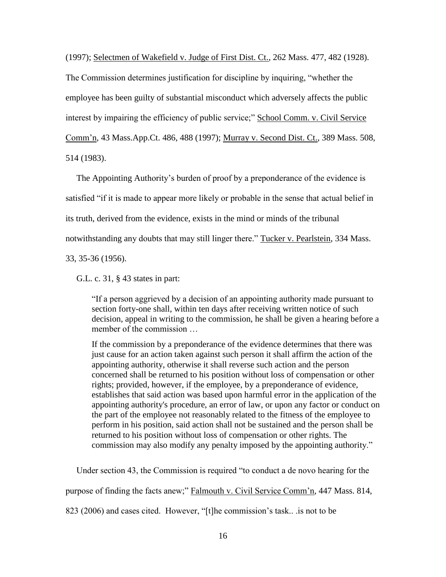(1997); Selectmen of Wakefield v. Judge of First Dist. Ct., 262 Mass. 477, 482 (1928).

The Commission determines justification for discipline by inquiring, "whether the employee has been guilty of substantial misconduct which adversely affects the public interest by impairing the efficiency of public service;" School Comm. v. Civil Service Comm'n, 43 Mass.App.Ct. 486, 488 (1997); Murray v. Second Dist. Ct., 389 Mass. 508, 514 (1983).

 The Appointing Authority's burden of proof by a preponderance of the evidence is satisfied "if it is made to appear more likely or probable in the sense that actual belief in its truth, derived from the evidence, exists in the mind or minds of the tribunal notwithstanding any doubts that may still linger there." Tucker v. Pearlstein, 334 Mass.

33, 35-36 (1956).

G.L. c. 31, § 43 states in part:

"If a person aggrieved by a decision of an appointing authority made pursuant to section forty-one shall, within ten days after receiving written notice of such decision, appeal in writing to the commission, he shall be given a hearing before a member of the commission …

If the commission by a preponderance of the evidence determines that there was just cause for an action taken against such person it shall affirm the action of the appointing authority, otherwise it shall reverse such action and the person concerned shall be returned to his position without loss of compensation or other rights; provided, however, if the employee, by a preponderance of evidence, establishes that said action was based upon harmful error in the application of the appointing authority's procedure, an error of law, or upon any factor or conduct on the part of the employee not reasonably related to the fitness of the employee to perform in his position, said action shall not be sustained and the person shall be returned to his position without loss of compensation or other rights. The commission may also modify any penalty imposed by the appointing authority."

Under section 43, the Commission is required "to conduct a de novo hearing for the

purpose of finding the facts anew;" Falmouth v. Civil Service Comm'n, 447 Mass. 814,

823 (2006) and cases cited. However, "[t]he commission's task.. .is not to be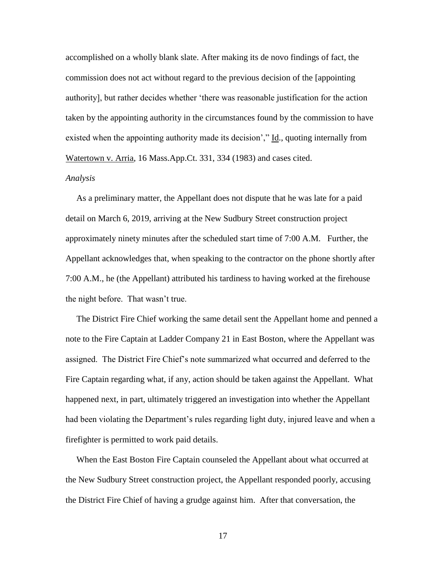accomplished on a wholly blank slate. After making its de novo findings of fact, the commission does not act without regard to the previous decision of the [appointing authority], but rather decides whether 'there was reasonable justification for the action taken by the appointing authority in the circumstances found by the commission to have existed when the appointing authority made its decision'," Id., quoting internally from Watertown v. Arria, 16 Mass.App.Ct. 331, 334 (1983) and cases cited.

# *Analysis*

 As a preliminary matter, the Appellant does not dispute that he was late for a paid detail on March 6, 2019, arriving at the New Sudbury Street construction project approximately ninety minutes after the scheduled start time of 7:00 A.M. Further, the Appellant acknowledges that, when speaking to the contractor on the phone shortly after 7:00 A.M., he (the Appellant) attributed his tardiness to having worked at the firehouse the night before. That wasn't true.

 The District Fire Chief working the same detail sent the Appellant home and penned a note to the Fire Captain at Ladder Company 21 in East Boston, where the Appellant was assigned. The District Fire Chief's note summarized what occurred and deferred to the Fire Captain regarding what, if any, action should be taken against the Appellant. What happened next, in part, ultimately triggered an investigation into whether the Appellant had been violating the Department's rules regarding light duty, injured leave and when a firefighter is permitted to work paid details.

 When the East Boston Fire Captain counseled the Appellant about what occurred at the New Sudbury Street construction project, the Appellant responded poorly, accusing the District Fire Chief of having a grudge against him. After that conversation, the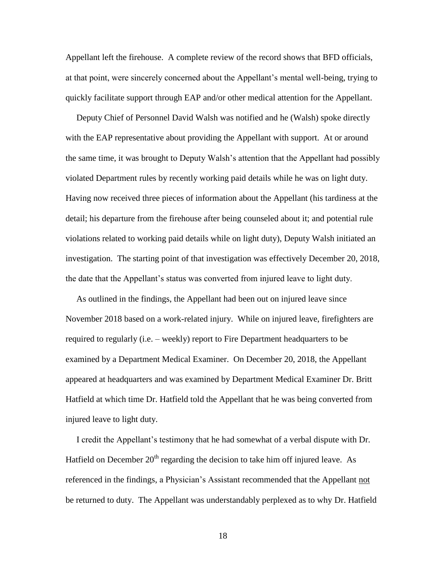Appellant left the firehouse. A complete review of the record shows that BFD officials, at that point, were sincerely concerned about the Appellant's mental well-being, trying to quickly facilitate support through EAP and/or other medical attention for the Appellant.

 Deputy Chief of Personnel David Walsh was notified and he (Walsh) spoke directly with the EAP representative about providing the Appellant with support. At or around the same time, it was brought to Deputy Walsh's attention that the Appellant had possibly violated Department rules by recently working paid details while he was on light duty. Having now received three pieces of information about the Appellant (his tardiness at the detail; his departure from the firehouse after being counseled about it; and potential rule violations related to working paid details while on light duty), Deputy Walsh initiated an investigation. The starting point of that investigation was effectively December 20, 2018, the date that the Appellant's status was converted from injured leave to light duty.

 As outlined in the findings, the Appellant had been out on injured leave since November 2018 based on a work-related injury. While on injured leave, firefighters are required to regularly (i.e. – weekly) report to Fire Department headquarters to be examined by a Department Medical Examiner. On December 20, 2018, the Appellant appeared at headquarters and was examined by Department Medical Examiner Dr. Britt Hatfield at which time Dr. Hatfield told the Appellant that he was being converted from injured leave to light duty.

 I credit the Appellant's testimony that he had somewhat of a verbal dispute with Dr. Hatfield on December  $20<sup>th</sup>$  regarding the decision to take him off injured leave. As referenced in the findings, a Physician's Assistant recommended that the Appellant not be returned to duty. The Appellant was understandably perplexed as to why Dr. Hatfield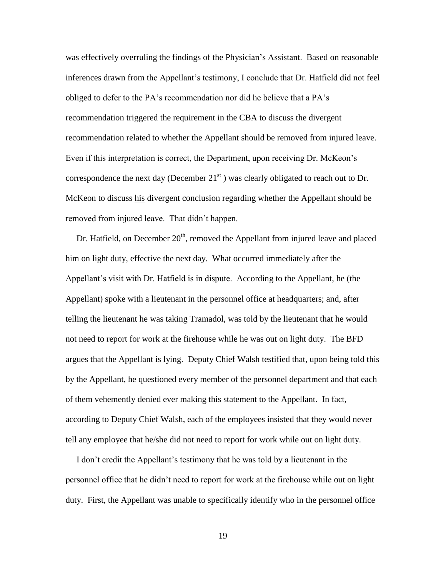was effectively overruling the findings of the Physician's Assistant. Based on reasonable inferences drawn from the Appellant's testimony, I conclude that Dr. Hatfield did not feel obliged to defer to the PA's recommendation nor did he believe that a PA's recommendation triggered the requirement in the CBA to discuss the divergent recommendation related to whether the Appellant should be removed from injured leave. Even if this interpretation is correct, the Department, upon receiving Dr. McKeon's correspondence the next day (December  $21<sup>st</sup>$ ) was clearly obligated to reach out to Dr. McKeon to discuss his divergent conclusion regarding whether the Appellant should be removed from injured leave. That didn't happen.

Dr. Hatfield, on December  $20<sup>th</sup>$ , removed the Appellant from injured leave and placed him on light duty, effective the next day. What occurred immediately after the Appellant's visit with Dr. Hatfield is in dispute. According to the Appellant, he (the Appellant) spoke with a lieutenant in the personnel office at headquarters; and, after telling the lieutenant he was taking Tramadol, was told by the lieutenant that he would not need to report for work at the firehouse while he was out on light duty. The BFD argues that the Appellant is lying. Deputy Chief Walsh testified that, upon being told this by the Appellant, he questioned every member of the personnel department and that each of them vehemently denied ever making this statement to the Appellant. In fact, according to Deputy Chief Walsh, each of the employees insisted that they would never tell any employee that he/she did not need to report for work while out on light duty.

 I don't credit the Appellant's testimony that he was told by a lieutenant in the personnel office that he didn't need to report for work at the firehouse while out on light duty. First, the Appellant was unable to specifically identify who in the personnel office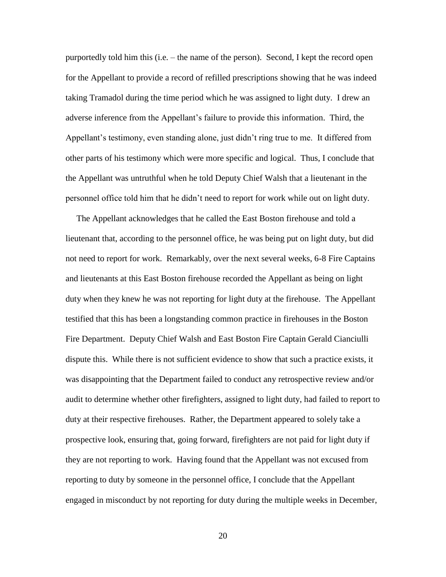purportedly told him this (i.e. – the name of the person). Second, I kept the record open for the Appellant to provide a record of refilled prescriptions showing that he was indeed taking Tramadol during the time period which he was assigned to light duty. I drew an adverse inference from the Appellant's failure to provide this information. Third, the Appellant's testimony, even standing alone, just didn't ring true to me. It differed from other parts of his testimony which were more specific and logical. Thus, I conclude that the Appellant was untruthful when he told Deputy Chief Walsh that a lieutenant in the personnel office told him that he didn't need to report for work while out on light duty.

 The Appellant acknowledges that he called the East Boston firehouse and told a lieutenant that, according to the personnel office, he was being put on light duty, but did not need to report for work. Remarkably, over the next several weeks, 6-8 Fire Captains and lieutenants at this East Boston firehouse recorded the Appellant as being on light duty when they knew he was not reporting for light duty at the firehouse. The Appellant testified that this has been a longstanding common practice in firehouses in the Boston Fire Department. Deputy Chief Walsh and East Boston Fire Captain Gerald Cianciulli dispute this. While there is not sufficient evidence to show that such a practice exists, it was disappointing that the Department failed to conduct any retrospective review and/or audit to determine whether other firefighters, assigned to light duty, had failed to report to duty at their respective firehouses. Rather, the Department appeared to solely take a prospective look, ensuring that, going forward, firefighters are not paid for light duty if they are not reporting to work. Having found that the Appellant was not excused from reporting to duty by someone in the personnel office, I conclude that the Appellant engaged in misconduct by not reporting for duty during the multiple weeks in December,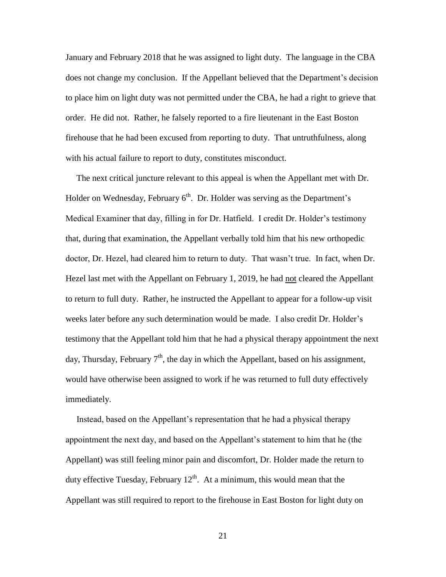January and February 2018 that he was assigned to light duty. The language in the CBA does not change my conclusion. If the Appellant believed that the Department's decision to place him on light duty was not permitted under the CBA, he had a right to grieve that order. He did not. Rather, he falsely reported to a fire lieutenant in the East Boston firehouse that he had been excused from reporting to duty. That untruthfulness, along with his actual failure to report to duty, constitutes misconduct.

 The next critical juncture relevant to this appeal is when the Appellant met with Dr. Holder on Wednesday, February  $6<sup>th</sup>$ . Dr. Holder was serving as the Department's Medical Examiner that day, filling in for Dr. Hatfield. I credit Dr. Holder's testimony that, during that examination, the Appellant verbally told him that his new orthopedic doctor, Dr. Hezel, had cleared him to return to duty. That wasn't true. In fact, when Dr. Hezel last met with the Appellant on February 1, 2019, he had not cleared the Appellant to return to full duty. Rather, he instructed the Appellant to appear for a follow-up visit weeks later before any such determination would be made. I also credit Dr. Holder's testimony that the Appellant told him that he had a physical therapy appointment the next day, Thursday, February  $7<sup>th</sup>$ , the day in which the Appellant, based on his assignment, would have otherwise been assigned to work if he was returned to full duty effectively immediately.

 Instead, based on the Appellant's representation that he had a physical therapy appointment the next day, and based on the Appellant's statement to him that he (the Appellant) was still feeling minor pain and discomfort, Dr. Holder made the return to duty effective Tuesday, February  $12<sup>th</sup>$ . At a minimum, this would mean that the Appellant was still required to report to the firehouse in East Boston for light duty on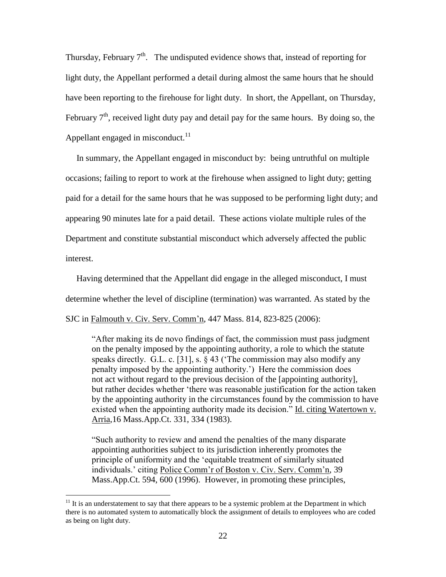Thursday, February  $7<sup>th</sup>$ . The undisputed evidence shows that, instead of reporting for light duty, the Appellant performed a detail during almost the same hours that he should have been reporting to the firehouse for light duty. In short, the Appellant, on Thursday, February  $7<sup>th</sup>$ , received light duty pay and detail pay for the same hours. By doing so, the Appellant engaged in misconduct. $^{11}$ 

 In summary, the Appellant engaged in misconduct by: being untruthful on multiple occasions; failing to report to work at the firehouse when assigned to light duty; getting paid for a detail for the same hours that he was supposed to be performing light duty; and appearing 90 minutes late for a paid detail. These actions violate multiple rules of the Department and constitute substantial misconduct which adversely affected the public interest.

 Having determined that the Appellant did engage in the alleged misconduct, I must determine whether the level of discipline (termination) was warranted. As stated by the SJC in Falmouth v. Civ. Serv. Comm'n, 447 Mass. 814, 823-825 (2006):

 "After making its de novo findings of fact, the commission must pass judgment on the penalty imposed by the appointing authority, a role to which the statute speaks directly. G.L. c. [31], s. § 43 ('The commission may also modify any penalty imposed by the appointing authority.') Here the commission does not act without regard to the previous decision of the [appointing authority], but rather decides whether 'there was reasonable justification for the action taken by the appointing authority in the circumstances found by the commission to have existed when the appointing authority made its decision." Id. citing Watertown v. Arria,16 Mass.App.Ct. 331, 334 (1983).

"Such authority to review and amend the penalties of the many disparate appointing authorities subject to its jurisdiction inherently promotes the principle of uniformity and the 'equitable treatment of similarly situated individuals.' citing Police Comm'r of Boston v. Civ. Serv. Comm'n, 39 Mass.App.Ct. 594, 600 (1996). However, in promoting these principles,

 $11$  It is an understatement to say that there appears to be a systemic problem at the Department in which there is no automated system to automatically block the assignment of details to employees who are coded as being on light duty.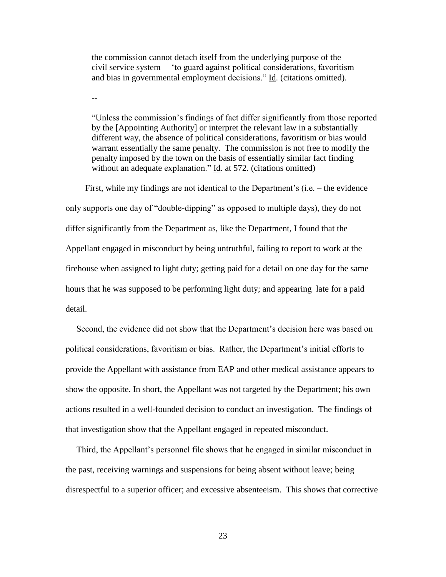the commission cannot detach itself from the underlying purpose of the civil service system— 'to guard against political considerations, favoritism and bias in governmental employment decisions." Id. (citations omitted).

--

"Unless the commission's findings of fact differ significantly from those reported by the [Appointing Authority] or interpret the relevant law in a substantially different way, the absence of political considerations, favoritism or bias would warrant essentially the same penalty. The commission is not free to modify the penalty imposed by the town on the basis of essentially similar fact finding without an adequate explanation." Id. at 572. (citations omitted)

 First, while my findings are not identical to the Department's (i.e. – the evidence only supports one day of "double-dipping" as opposed to multiple days), they do not differ significantly from the Department as, like the Department, I found that the Appellant engaged in misconduct by being untruthful, failing to report to work at the firehouse when assigned to light duty; getting paid for a detail on one day for the same hours that he was supposed to be performing light duty; and appearing late for a paid detail.

 Second, the evidence did not show that the Department's decision here was based on political considerations, favoritism or bias. Rather, the Department's initial efforts to provide the Appellant with assistance from EAP and other medical assistance appears to show the opposite. In short, the Appellant was not targeted by the Department; his own actions resulted in a well-founded decision to conduct an investigation. The findings of that investigation show that the Appellant engaged in repeated misconduct.

 Third, the Appellant's personnel file shows that he engaged in similar misconduct in the past, receiving warnings and suspensions for being absent without leave; being disrespectful to a superior officer; and excessive absenteeism. This shows that corrective